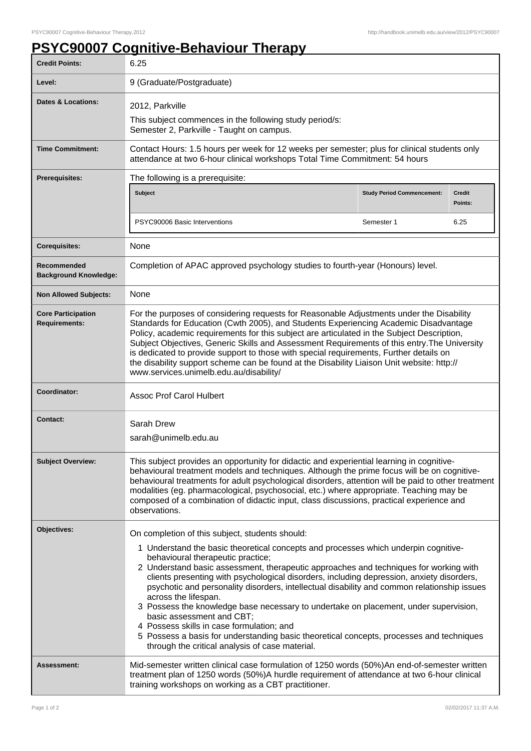## **PSYC90007 Cognitive-Behaviour Therapy**

| <b>Credit Points:</b>                             | 6.25                                                                                                                                                                                                                                                                                                                                                                                                                                                                                                                                                                                                                       |                                   |                          |
|---------------------------------------------------|----------------------------------------------------------------------------------------------------------------------------------------------------------------------------------------------------------------------------------------------------------------------------------------------------------------------------------------------------------------------------------------------------------------------------------------------------------------------------------------------------------------------------------------------------------------------------------------------------------------------------|-----------------------------------|--------------------------|
| Level:                                            | 9 (Graduate/Postgraduate)                                                                                                                                                                                                                                                                                                                                                                                                                                                                                                                                                                                                  |                                   |                          |
| <b>Dates &amp; Locations:</b>                     | 2012, Parkville                                                                                                                                                                                                                                                                                                                                                                                                                                                                                                                                                                                                            |                                   |                          |
|                                                   | This subject commences in the following study period/s:<br>Semester 2, Parkville - Taught on campus.                                                                                                                                                                                                                                                                                                                                                                                                                                                                                                                       |                                   |                          |
| <b>Time Commitment:</b>                           | Contact Hours: 1.5 hours per week for 12 weeks per semester; plus for clinical students only<br>attendance at two 6-hour clinical workshops Total Time Commitment: 54 hours                                                                                                                                                                                                                                                                                                                                                                                                                                                |                                   |                          |
| <b>Prerequisites:</b>                             | The following is a prerequisite:                                                                                                                                                                                                                                                                                                                                                                                                                                                                                                                                                                                           |                                   |                          |
|                                                   | Subject                                                                                                                                                                                                                                                                                                                                                                                                                                                                                                                                                                                                                    | <b>Study Period Commencement:</b> | <b>Credit</b><br>Points: |
|                                                   | PSYC90006 Basic Interventions                                                                                                                                                                                                                                                                                                                                                                                                                                                                                                                                                                                              | Semester 1                        | 6.25                     |
| <b>Corequisites:</b>                              | None                                                                                                                                                                                                                                                                                                                                                                                                                                                                                                                                                                                                                       |                                   |                          |
| Recommended<br><b>Background Knowledge:</b>       | Completion of APAC approved psychology studies to fourth-year (Honours) level.                                                                                                                                                                                                                                                                                                                                                                                                                                                                                                                                             |                                   |                          |
| <b>Non Allowed Subjects:</b>                      | None                                                                                                                                                                                                                                                                                                                                                                                                                                                                                                                                                                                                                       |                                   |                          |
| <b>Core Participation</b><br><b>Requirements:</b> | For the purposes of considering requests for Reasonable Adjustments under the Disability<br>Standards for Education (Cwth 2005), and Students Experiencing Academic Disadvantage<br>Policy, academic requirements for this subject are articulated in the Subject Description,<br>Subject Objectives, Generic Skills and Assessment Requirements of this entry. The University<br>is dedicated to provide support to those with special requirements, Further details on<br>the disability support scheme can be found at the Disability Liaison Unit website: http://<br>www.services.unimelb.edu.au/disability/          |                                   |                          |
| Coordinator:                                      | <b>Assoc Prof Carol Hulbert</b>                                                                                                                                                                                                                                                                                                                                                                                                                                                                                                                                                                                            |                                   |                          |
| <b>Contact:</b>                                   | Sarah Drew<br>sarah@unimelb.edu.au                                                                                                                                                                                                                                                                                                                                                                                                                                                                                                                                                                                         |                                   |                          |
| <b>Subject Overview:</b>                          | This subject provides an opportunity for didactic and experiential learning in cognitive-<br>behavioural treatment models and techniques. Although the prime focus will be on cognitive-<br>behavioural treatments for adult psychological disorders, attention will be paid to other treatment<br>modalities (eg. pharmacological, psychosocial, etc.) where appropriate. Teaching may be<br>composed of a combination of didactic input, class discussions, practical experience and<br>observations.                                                                                                                    |                                   |                          |
| Objectives:                                       | On completion of this subject, students should:<br>1 Understand the basic theoretical concepts and processes which underpin cognitive-<br>behavioural therapeutic practice;                                                                                                                                                                                                                                                                                                                                                                                                                                                |                                   |                          |
|                                                   | 2 Understand basic assessment, therapeutic approaches and techniques for working with<br>clients presenting with psychological disorders, including depression, anxiety disorders,<br>psychotic and personality disorders, intellectual disability and common relationship issues<br>across the lifespan.<br>3 Possess the knowledge base necessary to undertake on placement, under supervision,<br>basic assessment and CBT;<br>4 Possess skills in case formulation; and<br>5 Possess a basis for understanding basic theoretical concepts, processes and techniques<br>through the critical analysis of case material. |                                   |                          |
| Assessment:                                       | Mid-semester written clinical case formulation of 1250 words (50%) An end-of-semester written<br>treatment plan of 1250 words (50%)A hurdle requirement of attendance at two 6-hour clinical<br>training workshops on working as a CBT practitioner.                                                                                                                                                                                                                                                                                                                                                                       |                                   |                          |